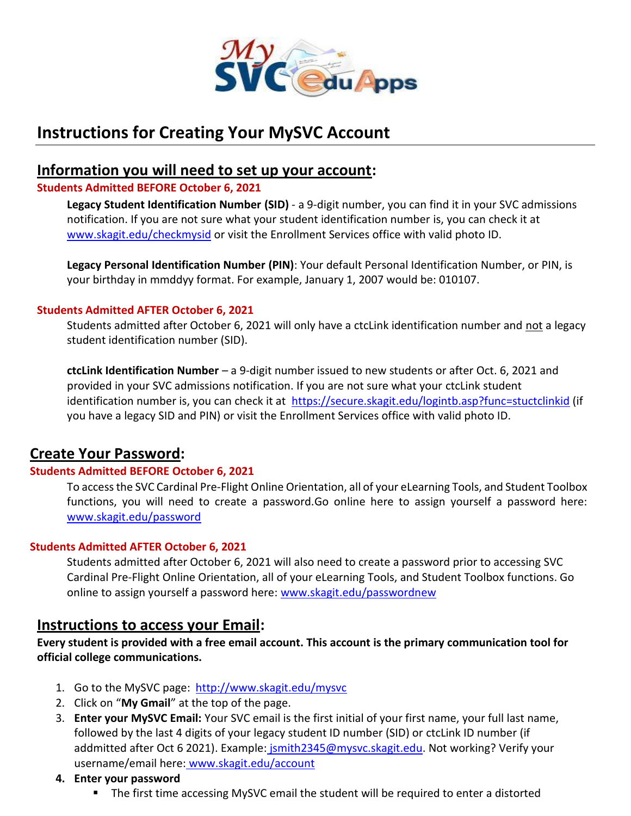

# **Instructions for Creating Your MySVC Account**

### **Information you will need to set up your account:**

#### **Students Admitted BEFORE October 6, 2021**

**Legacy Student Identification Number (SID)** - a 9-digit number, you can find it in your SVC admissions notification. If you are not sure what your student identification number is, you can check it at [www.skagit.edu/checkmysid](http://www.skagit.edu/checkmysid) or visit the Enrollment Services office with valid photo ID.

**Legacy Personal Identification Number (PIN)**: Your default Personal Identification Number, or PIN, is your birthday in mmddyy format. For example, January 1, 2007 would be: 010107.

#### **Students Admitted AFTER October 6, 2021**

Students admitted after October 6, 2021 will only have a ctcLink identification number and not a legacy student identification number (SID).

**ctcLink Identification Number** – a 9-digit number issued to new students or after Oct. 6, 2021 and provided in your SVC admissions notification. If you are not sure what your ctcLink student identification number is, you can check it at <https://secure.skagit.edu/logintb.asp?func=stuctclinkid> (if you have a legacy SID and PIN) or visit the Enrollment Services office with valid photo ID.

### **Create Your Password:**

### **Students Admitted BEFORE October 6, 2021**

To access the SVC Cardinal Pre-Flight Online Orientation, all of your eLearning Tools, and Student Toolbox functions, you will need to create a password.Go online here to assign yourself a password here: [www.skagit.edu/password](http://www.skagit.edu/password)

#### **Students Admitted AFTER October 6, 2021**

Students admitted after October 6, 2021 will also need to create a password prior to accessing SVC Cardinal Pre-Flight Online Orientation, all of your eLearning Tools, and Student Toolbox functions. Go online to assign yourself a password here: [www.skagit.edu/passwordnew](http://www.skagit.edu/passwordnew)

### **Instructions to access your Email:**

**Every student is provided with a free email account. This account is the primary communication tool for official college communications.**

- 1. Go to the MySVC page: <http://www.skagit.edu/mysvc>
- 2. Click on "**My Gmail**" at the top of the page.
- 3. **Enter your MySVC Email:** Your SVC email is the first initial of your first name, your full last name, followed by the last 4 digits of your legacy student ID number (SID) or ctcLink ID number (if addmitted after Oct 6 2021). Example: [jsmith2345@mysvc.skagit.edu.](mailto:jsmith2345@mysvc.skagit.edu) Not working? Verify your username/email here: [www.skagit.edu/account](http://www.skagit.edu/account)
- **4. Enter your password**
	- **The first time accessing MySVC email the student will be required to enter a distorted**